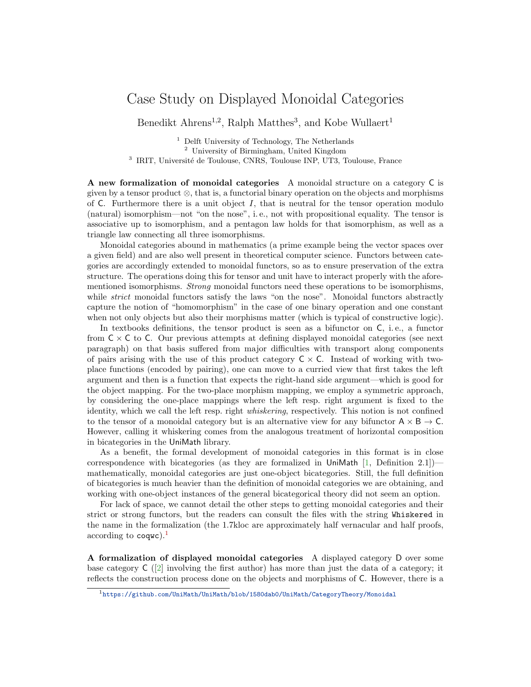## Case Study on Displayed Monoidal Categories

Benedikt Ahrens<sup>1,2</sup>, Ralph Matthes<sup>3</sup>, and Kobe Wullaert<sup>1</sup>

 $<sup>1</sup>$  Delft University of Technology, The Netherlands</sup> <sup>2</sup> University of Birmingham, United Kingdom <sup>3</sup> IRIT, Université de Toulouse, CNRS, Toulouse INP, UT3, Toulouse, France

A new formalization of monoidal categories A monoidal structure on a category C is given by a tensor product ⊗, that is, a functorial binary operation on the objects and morphisms of  $C$ . Furthermore there is a unit object  $I$ , that is neutral for the tensor operation modulo (natural) isomorphism—not "on the nose", i. e., not with propositional equality. The tensor is associative up to isomorphism, and a pentagon law holds for that isomorphism, as well as a triangle law connecting all three isomorphisms.

Monoidal categories abound in mathematics (a prime example being the vector spaces over a given field) and are also well present in theoretical computer science. Functors between categories are accordingly extended to monoidal functors, so as to ensure preservation of the extra structure. The operations doing this for tensor and unit have to interact properly with the aforementioned isomorphisms. Strong monoidal functors need these operations to be isomorphisms, while *strict* monoidal functors satisfy the laws "on the nose". Monoidal functors abstractly capture the notion of "homomorphism" in the case of one binary operation and one constant when not only objects but also their morphisms matter (which is typical of constructive logic).

In textbooks definitions, the tensor product is seen as a bifunctor on C, i. e., a functor from  $C \times C$  to C. Our previous attempts at defining displayed monoidal categories (see next paragraph) on that basis suffered from major difficulties with transport along components of pairs arising with the use of this product category  $C \times C$ . Instead of working with twoplace functions (encoded by pairing), one can move to a curried view that first takes the left argument and then is a function that expects the right-hand side argument—which is good for the object mapping. For the two-place morphism mapping, we employ a symmetric approach, by considering the one-place mappings where the left resp. right argument is fixed to the identity, which we call the left resp. right whiskering, respectively. This notion is not confined to the tensor of a monoidal category but is an alternative view for any bifunctor  $A \times B \rightarrow C$ . However, calling it whiskering comes from the analogous treatment of horizontal composition in bicategories in the UniMath library.

As a benefit, the formal development of monoidal categories in this format is in close correspondence with bicategories (as they are formalized in UniMath [\[1,](#page-2-0) Definition 2.1]) mathematically, monoidal categories are just one-object bicategories. Still, the full definition of bicategories is much heavier than the definition of monoidal categories we are obtaining, and working with one-object instances of the general bicategorical theory did not seem an option.

For lack of space, we cannot detail the other steps to getting monoidal categories and their strict or strong functors, but the readers can consult the files with the string Whiskered in the name in the formalization (the 1.7kloc are approximately half vernacular and half proofs, according to  $\text{coque}$ ).<sup>[1](#page-0-0)</sup>

A formalization of displayed monoidal categories A displayed category D over some base category  $C([2]$  $C([2]$  involving the first author) has more than just the data of a category; it reflects the construction process done on the objects and morphisms of C. However, there is a

<span id="page-0-0"></span><sup>1</sup><https://github.com/UniMath/UniMath/blob/1580dab0/UniMath/CategoryTheory/Monoidal>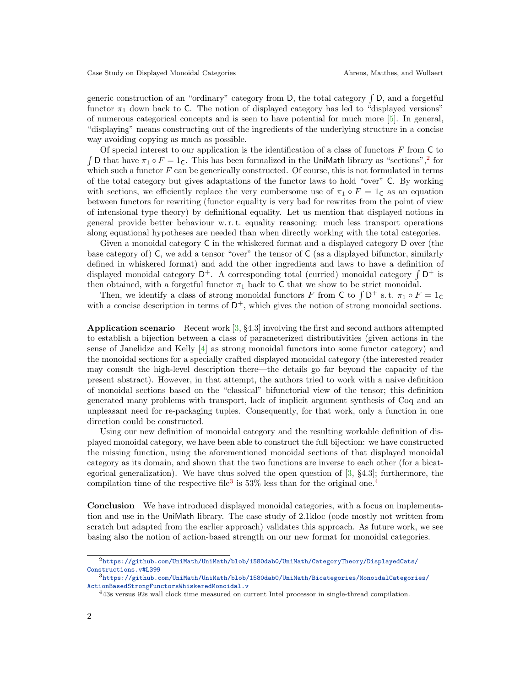generic construction of an "ordinary" category from  $D$ , the total category  $\int D$ , and a forgetful functor  $\pi_1$  down back to C. The notion of displayed category has led to "displayed versions" of numerous categorical concepts and is seen to have potential for much more [\[5\]](#page-2-2). In general, "displaying" means constructing out of the ingredients of the underlying structure in a concise way avoiding copying as much as possible.

Of special interest to our application is the identification of a class of functors  $F$  from  $\mathsf C$  to  $\int$ D that have  $\pi_1 \circ F = 1_C$ . This has been formalized in the UniMath library as "sections",<sup>[2](#page-1-0)</sup> for which such a functor  $F$  can be generically constructed. Of course, this is not formulated in terms of the total category but gives adaptations of the functor laws to hold "over" C. By working with sections, we efficiently replace the very cumbersome use of  $\pi_1 \circ F = 1_{\mathsf{C}}$  as an equation between functors for rewriting (functor equality is very bad for rewrites from the point of view of intensional type theory) by definitional equality. Let us mention that displayed notions in general provide better behaviour w. r. t. equality reasoning: much less transport operations along equational hypotheses are needed than when directly working with the total categories.

Given a monoidal category C in the whiskered format and a displayed category D over (the base category of) C, we add a tensor "over" the tensor of C (as a displayed bifunctor, similarly defined in whiskered format) and add the other ingredients and laws to have a definition of displayed monoidal category  $D^+$ . A corresponding total (curried) monoidal category  $\int D^+$  is then obtained, with a forgetful functor  $\pi_1$  back to C that we show to be strict monoidal.

Then, we identify a class of strong monoidal functors F from C to  $\int D^+$  s.t.  $\pi_1 \circ F = 1_C$ with a concise description in terms of  $D^+$ , which gives the notion of strong monoidal sections.

Application scenario Recent work [\[3,](#page-2-3) §4.3] involving the first and second authors attempted to establish a bijection between a class of parameterized distributivities (given actions in the sense of Janelidze and Kelly [\[4\]](#page-2-4) as strong monoidal functors into some functor category) and the monoidal sections for a specially crafted displayed monoidal category (the interested reader may consult the high-level description there—the details go far beyond the capacity of the present abstract). However, in that attempt, the authors tried to work with a naive definition of monoidal sections based on the "classical" bifunctorial view of the tensor; this definition generated many problems with transport, lack of implicit argument synthesis of Coq and an unpleasant need for re-packaging tuples. Consequently, for that work, only a function in one direction could be constructed.

Using our new definition of monoidal category and the resulting workable definition of displayed monoidal category, we have been able to construct the full bijection: we have constructed the missing function, using the aforementioned monoidal sections of that displayed monoidal category as its domain, and shown that the two functions are inverse to each other (for a bicategorical generalization). We have thus solved the open question of [\[3,](#page-2-3) §4.3]; furthermore, the compilation time of the respective file<sup>[3](#page-1-1)</sup> is  $53\%$  less than for the original one.<sup>[4](#page-1-2)</sup>

Conclusion We have introduced displayed monoidal categories, with a focus on implementation and use in the UniMath library. The case study of 2.1kloc (code mostly not written from scratch but adapted from the earlier approach) validates this approach. As future work, we see basing also the notion of action-based strength on our new format for monoidal categories.

<span id="page-1-0"></span><sup>2</sup>[https://github.com/UniMath/UniMath/blob/1580dab0/UniMath/CategoryTheory/DisplayedCats/](https://github.com/UniMath/UniMath/blob/1580dab0/UniMath/CategoryTheory/DisplayedCats/Constructions.v#L399) [Constructions.v#L399](https://github.com/UniMath/UniMath/blob/1580dab0/UniMath/CategoryTheory/DisplayedCats/Constructions.v#L399)

<span id="page-1-1"></span> $^3$ [https://github.com/UniMath/UniMath/blob/1580dab0/UniMath/Bicategories/MonoidalCategories/](https://github.com/UniMath/UniMath/blob/1580dab0/UniMath/Bicategories/MonoidalCategories/ActionBasedStrongFunctorsWhiskeredMonoidal.v) [ActionBasedStrongFunctorsWhiskeredMonoidal.v](https://github.com/UniMath/UniMath/blob/1580dab0/UniMath/Bicategories/MonoidalCategories/ActionBasedStrongFunctorsWhiskeredMonoidal.v)

<span id="page-1-2"></span><sup>4</sup>43s versus 92s wall clock time measured on current Intel processor in single-thread compilation.